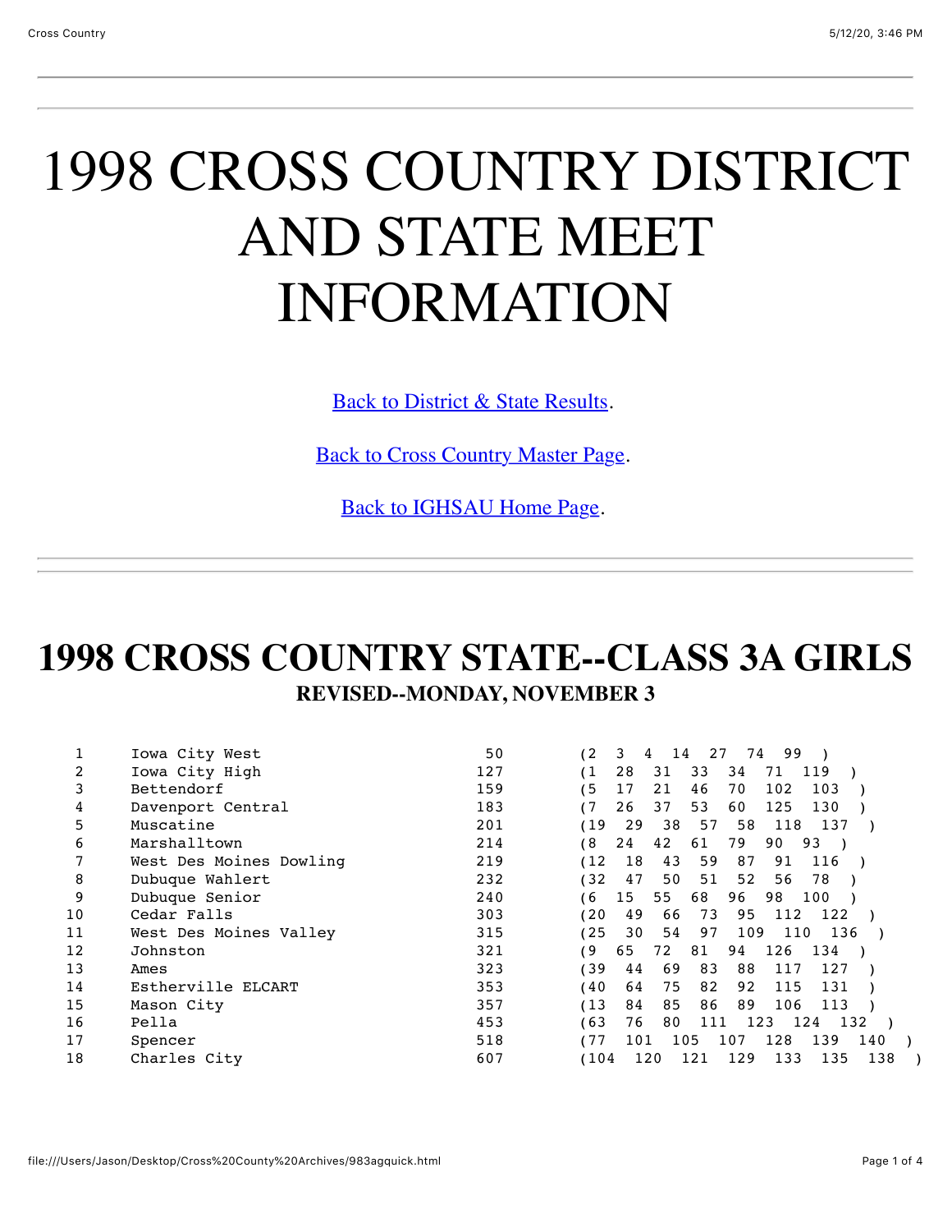# 1998 CROSS COUNTRY DISTRICT AND STATE MEET INFORMATION

[Back to District & State Results](file:///Users/Jason/Desktop/Cross%20County%20Archives/ccdistrict98.html).

[Back to Cross Country Master Page.](file:///Users/Jason/Desktop/Cross%20County%20Archives/crosscountry.html)

[Back to IGHSAU Home Page.](http://www.ighsau.org/ighsau/index.html)

#### **1998 CROSS COUNTRY STATE--CLASS 3A GIRLS REVISED--MONDAY, NOVEMBER 3**

|    | Iowa City West          | 50  | (2<br>3<br>99<br>27<br>4<br>14<br>74                  |
|----|-------------------------|-----|-------------------------------------------------------|
|    | Iowa City High          | 127 | (1)<br>28<br>31<br>33<br>119<br>34<br>71              |
|    | Bettendorf              | 159 | 21<br>65<br>46<br>102<br>103<br>17<br>70              |
| 4  | Davenport Central       | 183 | 37<br>53<br>(7<br>26<br>125<br>130<br>60              |
| 5  | Muscatine               | 201 | 57<br>58<br>(19<br>29<br>38<br>118<br>137             |
| 6  | Marshalltown            | 214 | 42<br>8'<br>24<br>61<br>79<br>90<br>93                |
|    | West Des Moines Dowling | 219 | (12<br>18<br>43<br>59<br>87<br>91<br>116              |
| 8  | Dubuque Wahlert         | 232 | 52<br>32<br>47<br>50<br>51<br>78<br>56                |
| 9  | Dubuque Senior          | 240 | 15<br>55<br>68<br>96<br>100<br>98<br>61               |
| 10 | Cedar Falls             | 303 | 95<br>20<br>49<br>66<br>73<br>122<br>112              |
| 11 | West Des Moines Valley  | 315 | 109<br>110<br>$^{\prime}$ 25<br>30<br>97<br>136<br>54 |
| 12 | Johnston                | 321 | 65<br>134<br>و ؛<br>72<br>81<br>126<br>94             |
| 13 | Ames                    | 323 | ' 39<br>69<br>83<br>88<br>44<br>117<br>127            |
| 14 | Estherville ELCART      | 353 | 75<br>82<br>92<br>115<br>40<br>131<br>64              |
| 15 | Mason City              | 357 | (13<br>85<br>89<br>84<br>86<br>106<br>113             |
| 16 | Pella                   | 453 | 63<br>76<br>80<br>111<br>123<br>124<br>132            |
| 17 | Spencer                 | 518 | 77<br>128<br>139<br>105<br>140<br>101<br>107          |
| 18 | Charles City            | 607 | 138<br>135<br>104'<br>121<br>129<br>133<br>120        |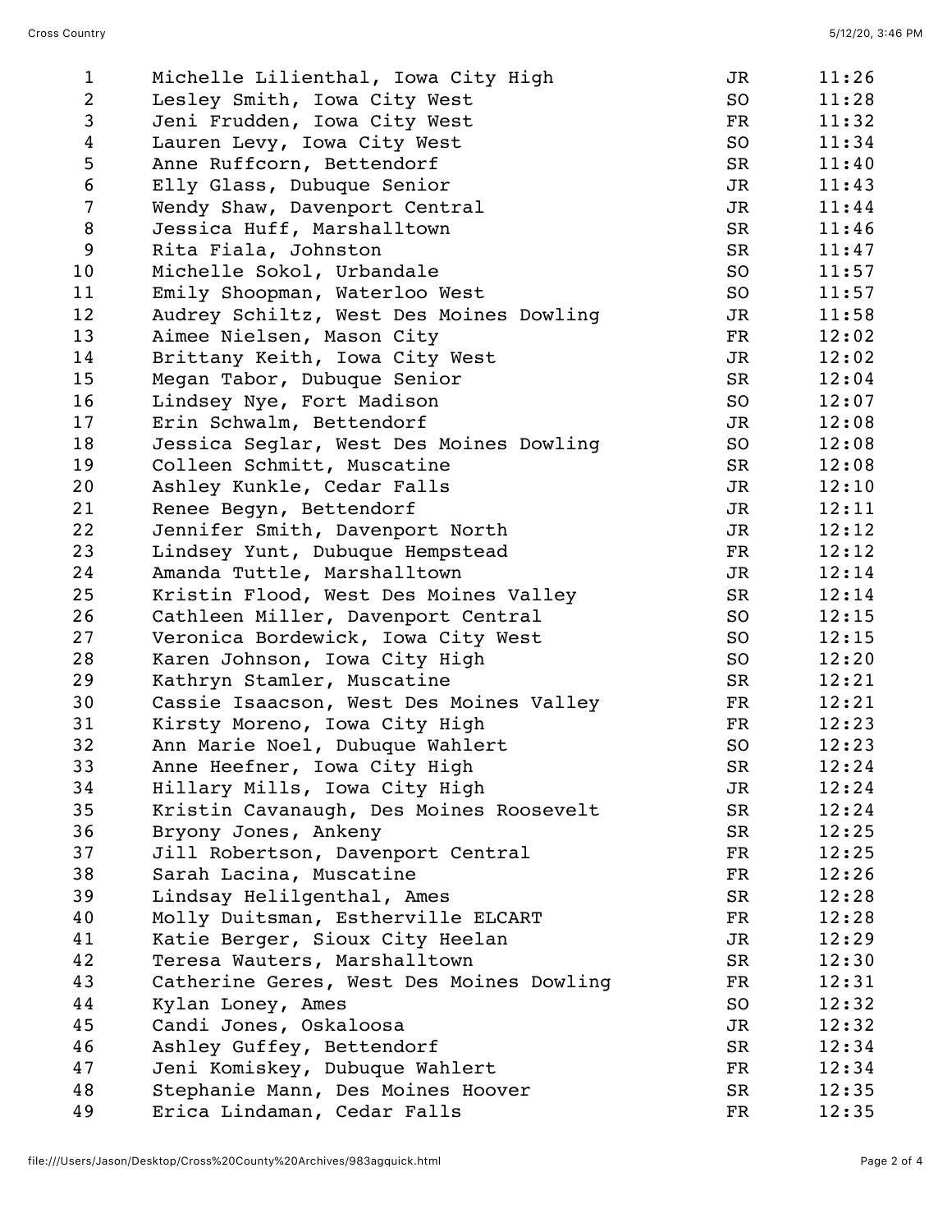| $\mathbf{1}$    | Michelle Lilienthal, Iowa City High      | JR          | 11:26 |
|-----------------|------------------------------------------|-------------|-------|
| $\overline{2}$  | Lesley Smith, Iowa City West             | SO          | 11:28 |
| 3               | Jeni Frudden, Iowa City West             | FR          | 11:32 |
| 4               | Lauren Levy, Iowa City West              | SO          | 11:34 |
| 5               | Anne Ruffcorn, Bettendorf                | SR          | 11:40 |
| $6\phantom{.}6$ | Elly Glass, Dubuque Senior               | JR          | 11:43 |
| $\overline{7}$  | Wendy Shaw, Davenport Central            | JR          | 11:44 |
| 8               | Jessica Huff, Marshalltown               | SR          | 11:46 |
| 9               | Rita Fiala, Johnston                     | SR          | 11:47 |
| 10              | Michelle Sokol, Urbandale                | SO          | 11:57 |
| 11              | Emily Shoopman, Waterloo West            | SO          | 11:57 |
| 12              | Audrey Schiltz, West Des Moines Dowling  | JR          | 11:58 |
| 13              | Aimee Nielsen, Mason City                | FR          | 12:02 |
| 14              | Brittany Keith, Iowa City West           | JR          | 12:02 |
| 15              | Megan Tabor, Dubuque Senior              | SR          | 12:04 |
| 16              | Lindsey Nye, Fort Madison                | SO          | 12:07 |
| 17              | Erin Schwalm, Bettendorf                 | JR          | 12:08 |
| 18              | Jessica Seglar, West Des Moines Dowling  | SO          | 12:08 |
| 19              | Colleen Schmitt, Muscatine               | SR          | 12:08 |
| 20              | Ashley Kunkle, Cedar Falls               | JR          | 12:10 |
| 21              | Renee Begyn, Bettendorf                  | JR          | 12:11 |
| 22              | Jennifer Smith, Davenport North          | JR          | 12:12 |
| 23              | Lindsey Yunt, Dubuque Hempstead          | FR          | 12:12 |
| 24              | Amanda Tuttle, Marshalltown              | JR          | 12:14 |
| 25              | Kristin Flood, West Des Moines Valley    | SR          | 12:14 |
| 26              | Cathleen Miller, Davenport Central       | SO          | 12:15 |
| 27              | Veronica Bordewick, Iowa City West       | SO          | 12:15 |
| 28              | Karen Johnson, Iowa City High            | SO          | 12:20 |
| 29              | Kathryn Stamler, Muscatine               | SR          | 12:21 |
| 30              | Cassie Isaacson, West Des Moines Valley  | FR          | 12:21 |
| 31              | Kirsty Moreno, Iowa City High            | FR          | 12:23 |
| 32              | Ann Marie Noel, Dubuque Wahlert          | SO.         | 12:23 |
| 33              | Anne Heefner, Iowa City High             | SR          | 12:24 |
| 34              | Hillary Mills, Iowa City High            | JR          | 12:24 |
| 35              | Kristin Cavanaugh, Des Moines Roosevelt  | SR          | 12:24 |
| 36              | Bryony Jones, Ankeny                     | SR          | 12:25 |
| 37              | Jill Robertson, Davenport Central        | $_{\rm FR}$ | 12:25 |
| 38              | Sarah Lacina, Muscatine                  | FR          | 12:26 |
| 39              | Lindsay Helilgenthal, Ames               | SR          | 12:28 |
| 40              | Molly Duitsman, Estherville ELCART       | $_{\rm FR}$ | 12:28 |
| 41              | Katie Berger, Sioux City Heelan          | JR          | 12:29 |
| 42              | Teresa Wauters, Marshalltown             | SR          | 12:30 |
| 43              | Catherine Geres, West Des Moines Dowling | $_{\rm FR}$ | 12:31 |
| 44              | Kylan Loney, Ames                        | SO          | 12:32 |
| 45              | Candi Jones, Oskaloosa                   | JR          | 12:32 |
| 46              | Ashley Guffey, Bettendorf                | SR          | 12:34 |
| 47              | Jeni Komiskey, Dubuque Wahlert           | FR          | 12:34 |
| 48              | Stephanie Mann, Des Moines Hoover        | SR          | 12:35 |
| 49              | Erica Lindaman, Cedar Falls              | FR          | 12:35 |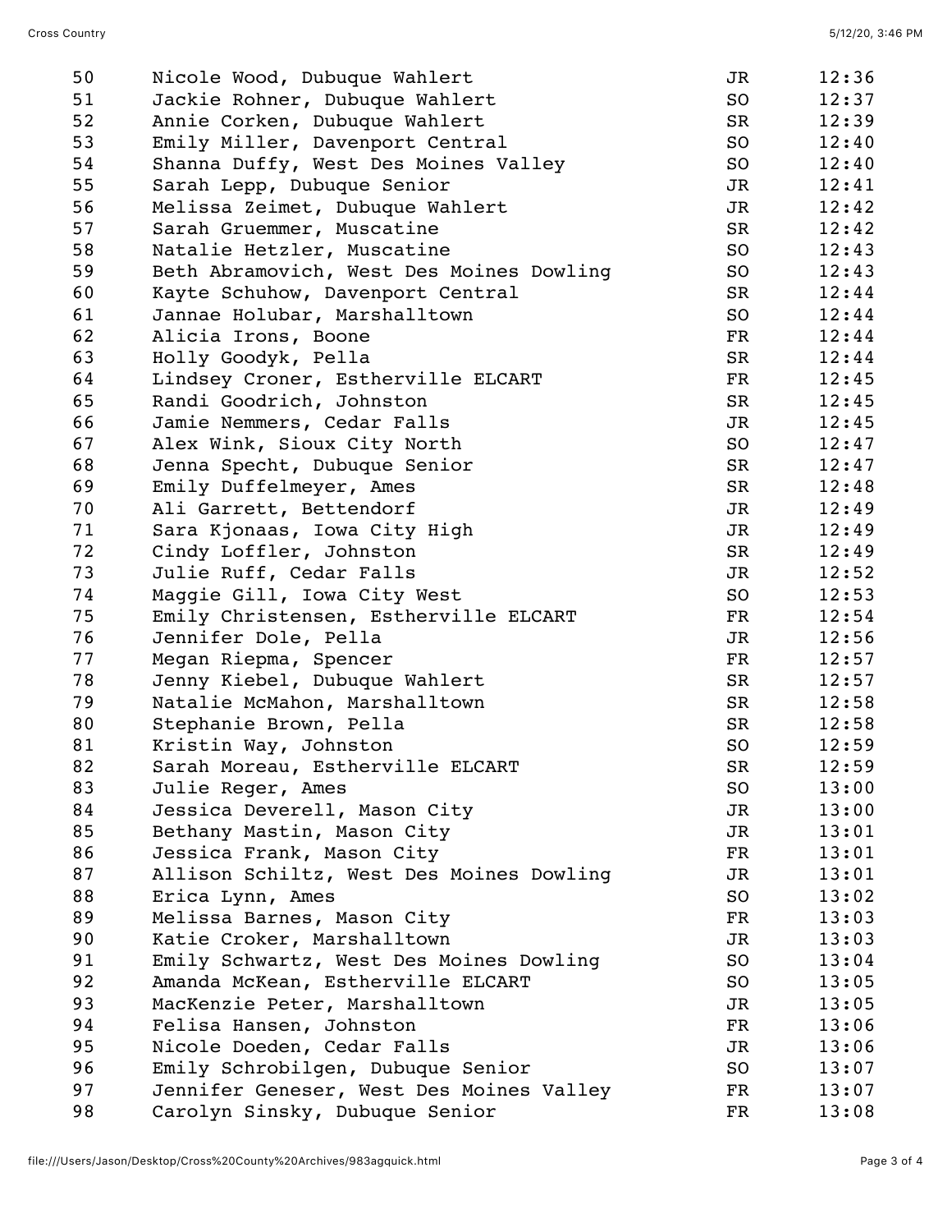| 50 | Nicole Wood, Dubuque Wahlert             | JR            | 12:36 |
|----|------------------------------------------|---------------|-------|
| 51 | Jackie Rohner, Dubuque Wahlert           | SO            | 12:37 |
| 52 | Annie Corken, Dubuque Wahlert            | SR            | 12:39 |
| 53 | Emily Miller, Davenport Central          | SO            | 12:40 |
| 54 | Shanna Duffy, West Des Moines Valley     | SO            | 12:40 |
| 55 | Sarah Lepp, Dubuque Senior               | JR            | 12:41 |
| 56 | Melissa Zeimet, Dubuque Wahlert          | JR            | 12:42 |
| 57 | Sarah Gruemmer, Muscatine                | SR            | 12:42 |
| 58 | Natalie Hetzler, Muscatine               | SO            | 12:43 |
| 59 | Beth Abramovich, West Des Moines Dowling | SO            | 12:43 |
| 60 | Kayte Schuhow, Davenport Central         | <b>SR</b>     | 12:44 |
| 61 | Jannae Holubar, Marshalltown             | SO            | 12:44 |
| 62 | Alicia Irons, Boone                      | FR            | 12:44 |
| 63 | Holly Goodyk, Pella                      | SR            | 12:44 |
| 64 | Lindsey Croner, Estherville ELCART       | FR            | 12:45 |
| 65 | Randi Goodrich, Johnston                 | SR            | 12:45 |
| 66 | Jamie Nemmers, Cedar Falls               | JR            | 12:45 |
| 67 | Alex Wink, Sioux City North              | SO            | 12:47 |
| 68 | Jenna Specht, Dubuque Senior             | SR            | 12:47 |
| 69 | Emily Duffelmeyer, Ames                  | SR            | 12:48 |
| 70 | Ali Garrett, Bettendorf                  | JR            | 12:49 |
| 71 | Sara Kjonaas, Iowa City High             | JR            | 12:49 |
| 72 | Cindy Loffler, Johnston                  | SR            | 12:49 |
| 73 | Julie Ruff, Cedar Falls                  | JR            | 12:52 |
| 74 | Maggie Gill, Iowa City West              | SO            | 12:53 |
| 75 | Emily Christensen, Estherville ELCART    | FR            | 12:54 |
| 76 | Jennifer Dole, Pella                     | JR            | 12:56 |
| 77 | Megan Riepma, Spencer                    | FR            | 12:57 |
| 78 | Jenny Kiebel, Dubuque Wahlert            | SR            | 12:57 |
| 79 | Natalie McMahon, Marshalltown            | SR            | 12:58 |
| 80 | Stephanie Brown, Pella                   | SR            | 12:58 |
| 81 | Kristin Way, Johnston                    | SO            | 12:59 |
| 82 | Sarah Moreau, Estherville ELCART         | SR            | 12:59 |
| 83 | Julie Reger, Ames                        | SO            | 13:00 |
| 84 | Jessica Deverell, Mason City             | JR            | 13:00 |
| 85 | Bethany Mastin, Mason City               | JR            | 13:01 |
| 86 | Jessica Frank, Mason City                | $_{\rm FR}$   | 13:01 |
| 87 | Allison Schiltz, West Des Moines Dowling | JR            | 13:01 |
| 88 | Erica Lynn, Ames                         | SO            | 13:02 |
| 89 | Melissa Barnes, Mason City               | $\mathbf{FR}$ | 13:03 |
| 90 | Katie Croker, Marshalltown               | JR            | 13:03 |
| 91 | Emily Schwartz, West Des Moines Dowling  | SO            | 13:04 |
| 92 | Amanda McKean, Estherville ELCART        | SO            | 13:05 |
| 93 | MacKenzie Peter, Marshalltown            | JR            | 13:05 |
| 94 | Felisa Hansen, Johnston                  | FR            | 13:06 |
| 95 | Nicole Doeden, Cedar Falls               | JR            | 13:06 |
| 96 | Emily Schrobilgen, Dubuque Senior        | SO            | 13:07 |
| 97 | Jennifer Geneser, West Des Moines Valley | FR            | 13:07 |
| 98 | Carolyn Sinsky, Dubuque Senior           | FR            | 13:08 |
|    |                                          |               |       |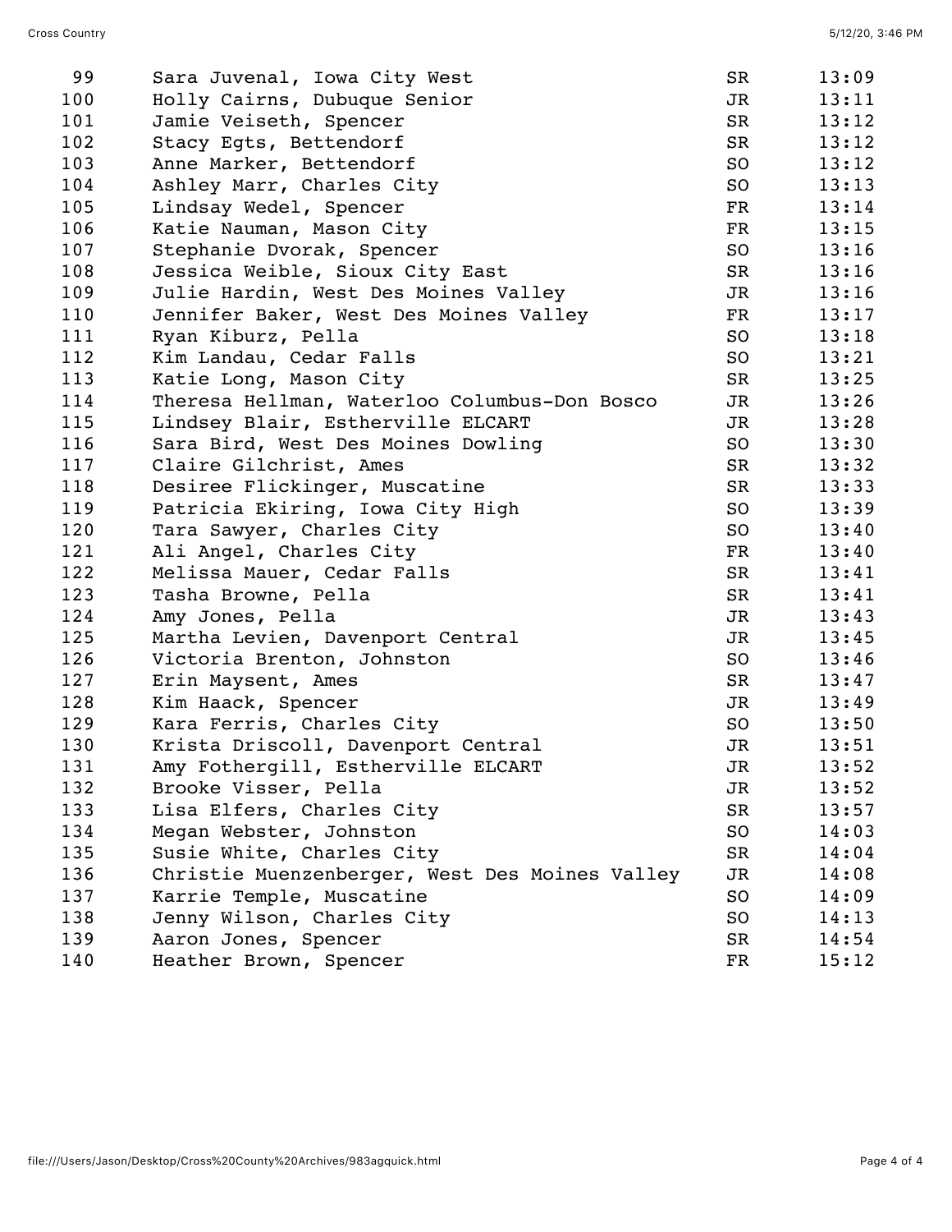| 99  | Sara Juvenal, Iowa City West                   | SR          | 13:09 |
|-----|------------------------------------------------|-------------|-------|
| 100 | Holly Cairns, Dubuque Senior                   | JR          | 13:11 |
| 101 | Jamie Veiseth, Spencer                         | SR          | 13:12 |
| 102 | Stacy Egts, Bettendorf                         | SR          | 13:12 |
| 103 | Anne Marker, Bettendorf                        | SO          | 13:12 |
| 104 | Ashley Marr, Charles City                      | SO          | 13:13 |
| 105 | Lindsay Wedel, Spencer                         | FR          | 13:14 |
| 106 | Katie Nauman, Mason City                       | FR          | 13:15 |
| 107 | Stephanie Dvorak, Spencer                      | SO          | 13:16 |
| 108 | Jessica Weible, Sioux City East                | SR          | 13:16 |
| 109 | Julie Hardin, West Des Moines Valley           | JR          | 13:16 |
| 110 | Jennifer Baker, West Des Moines Valley         | $_{\rm FR}$ | 13:17 |
| 111 | Ryan Kiburz, Pella                             | SO          | 13:18 |
| 112 | Kim Landau, Cedar Falls                        | SO          | 13:21 |
| 113 | Katie Long, Mason City                         | SR          | 13:25 |
| 114 | Theresa Hellman, Waterloo Columbus-Don Bosco   | JR          | 13:26 |
| 115 | Lindsey Blair, Estherville ELCART              | JR          | 13:28 |
| 116 | Sara Bird, West Des Moines Dowling             | SO          | 13:30 |
| 117 | Claire Gilchrist, Ames                         | SR          | 13:32 |
| 118 | Desiree Flickinger, Muscatine                  | SR          | 13:33 |
| 119 | Patricia Ekiring, Iowa City High               | SO          | 13:39 |
| 120 | Tara Sawyer, Charles City                      | SO          | 13:40 |
| 121 | Ali Angel, Charles City                        | $_{\rm FR}$ | 13:40 |
| 122 | Melissa Mauer, Cedar Falls                     | SR          | 13:41 |
| 123 | Tasha Browne, Pella                            | SR          | 13:41 |
| 124 | Amy Jones, Pella                               | JR          | 13:43 |
| 125 | Martha Levien, Davenport Central               | JR          | 13:45 |
| 126 | Victoria Brenton, Johnston                     | SO          | 13:46 |
| 127 | Erin Maysent, Ames                             | SR          | 13:47 |
| 128 | Kim Haack, Spencer                             | JR          | 13:49 |
| 129 | Kara Ferris, Charles City                      | SO          | 13:50 |
| 130 | Krista Driscoll, Davenport Central             | JR          | 13:51 |
| 131 | Amy Fothergill, Estherville ELCART             | JR          | 13:52 |
| 132 | Brooke Visser, Pella                           | JR          | 13:52 |
| 133 | Lisa Elfers, Charles City                      | SR          | 13:57 |
| 134 | Megan Webster, Johnston                        | SO          | 14:03 |
| 135 | Susie White, Charles City                      | SR          | 14:04 |
| 136 | Christie Muenzenberger, West Des Moines Valley | JR          | 14:08 |
| 137 | Karrie Temple, Muscatine                       | SO          | 14:09 |
| 138 | Jenny Wilson, Charles City                     | SO          | 14:13 |
| 139 | Aaron Jones, Spencer                           | SR          | 14:54 |
| 140 | Heather Brown, Spencer                         | FR          | 15:12 |
|     |                                                |             |       |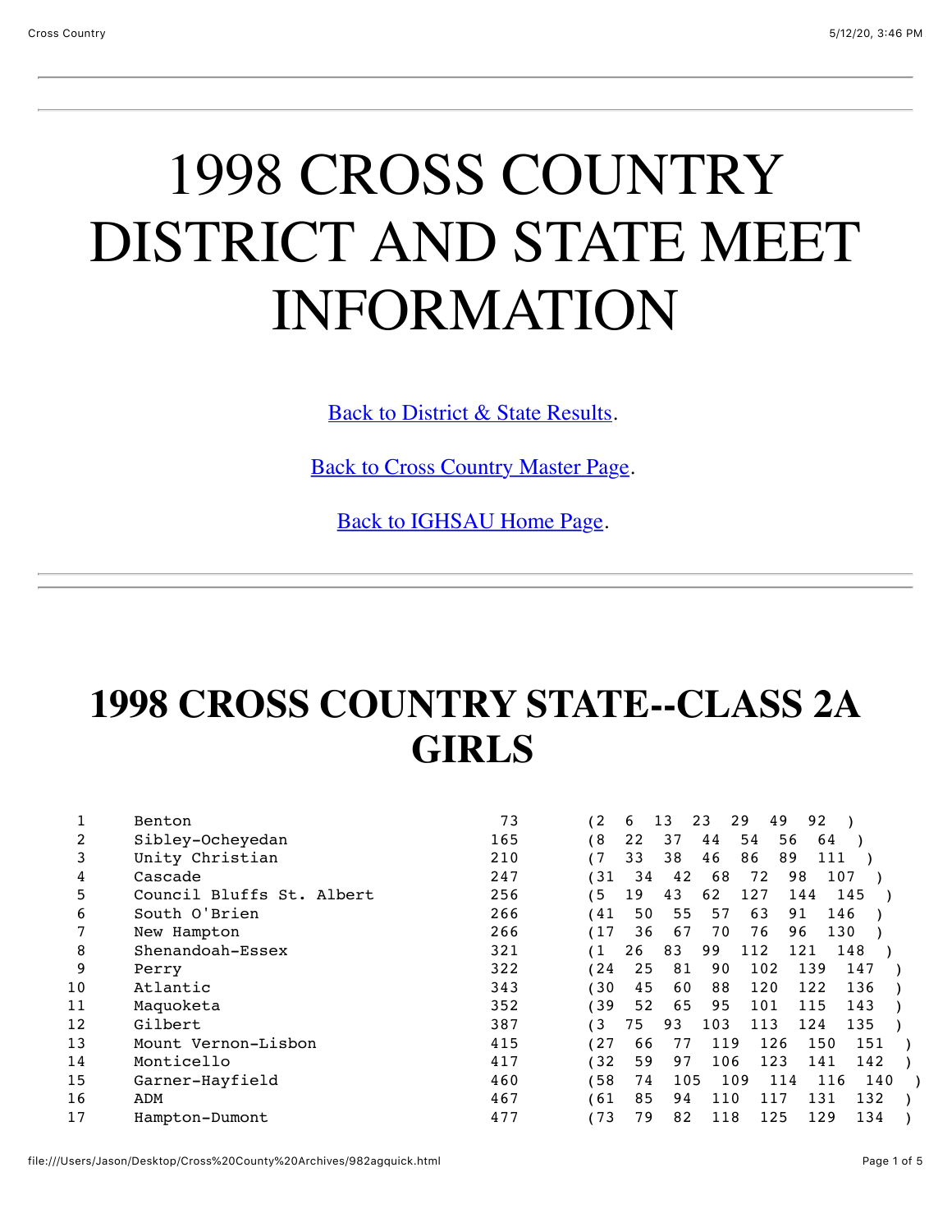## 1998 CROSS COUNTRY DISTRICT AND STATE MEET INFORMATION

[Back to District & State Results.](file:///Users/Jason/Desktop/Cross%20County%20Archives/ccdistrict98.html)

[Back to Cross Country Master Page.](file:///Users/Jason/Desktop/Cross%20County%20Archives/crosscountry.html)

[Back to IGHSAU Home Page](http://www.ighsau.org/ighsau/index.html).

### **1998 CROSS COUNTRY STATE--CLASS 2A GIRLS**

|    | Benton                    | 73  | 12   | 6  | 13  | 23<br>29 | 49       | 92        |     |  |
|----|---------------------------|-----|------|----|-----|----------|----------|-----------|-----|--|
| 2  | Sibley-Ocheyedan          | 165 | 6)   | 22 | 37  | 44       | 54<br>56 | 64        |     |  |
| 3  | Unity Christian           | 210 | 17   | 33 | 38  | 46       | 86<br>89 | 111       |     |  |
| 4  | Cascade                   | 247 | (31  | 34 | 42  | 68       | 72       | 98<br>107 |     |  |
| 5  | Council Bluffs St. Albert | 256 | ′ 5  | 19 | 43  | 62       | 127      | 144       | 145 |  |
| 6  | South O'Brien             | 266 | 41   | 50 | 55  | 57       | 63       | 91        | 146 |  |
|    | New Hampton               | 266 | (17  | 36 | 67  | 70       | 76       | 130<br>96 |     |  |
| 8  | Shenandoah-Essex          | 321 | (1   | 26 | 83  | 99       | 112      | 121       | 148 |  |
| 9  | Perry                     | 322 | 124  | 25 | 81  | 90       | 102      | 139       | 147 |  |
| 10 | Atlantic                  | 343 | 130  | 45 | 60  | 88       | 120      | 122       | 136 |  |
| 11 | Maquoketa                 | 352 | 139  | 52 | 65  | 95       | 101      | 115       | 143 |  |
| 12 | Gilbert                   | 387 | 13   | 75 | 93  | 103      | 113      | 124       | 135 |  |
| 13 | Mount Vernon-Lisbon       | 415 | (27  | 66 | 77  | 119      | 126      | 150       | 151 |  |
| 14 | Monticello                | 417 | (32) | 59 | 97  | 106      | 123      | 141       | 142 |  |
| 15 | Garner-Hayfield           | 460 | 158  | 74 | 105 | 109      | 114      | 116       | 140 |  |
| 16 | ADM                       | 467 | 61)  | 85 | 94  | 110      | 117      | 131       | 132 |  |
| 17 | Hampton-Dumont            | 477 | 173  | 79 | 82  | 118      | 125      | 129       | 134 |  |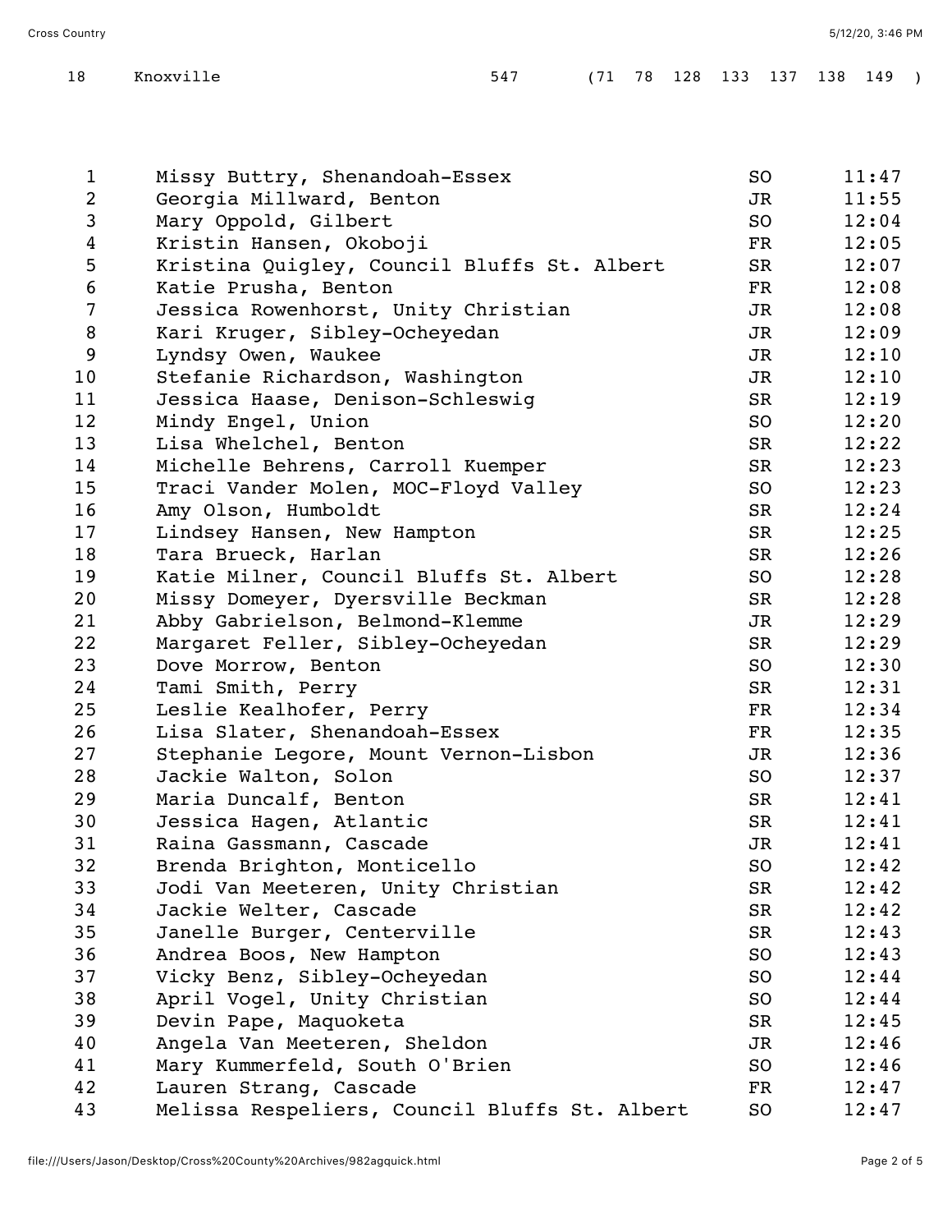| $\mathbf{1}$   | Missy Buttry, Shenandoah-Essex                | SO                       | 11:47 |
|----------------|-----------------------------------------------|--------------------------|-------|
| $\overline{2}$ | Georgia Millward, Benton                      | JR                       | 11:55 |
| $\mathsf{3}$   | Mary Oppold, Gilbert                          | SO                       | 12:04 |
| $\overline{4}$ | Kristin Hansen, Okoboji                       | FR                       | 12:05 |
| 5              | Kristina Quigley, Council Bluffs St. Albert   | SR                       | 12:07 |
| 6              | Katie Prusha, Benton                          | FR                       | 12:08 |
| $\overline{7}$ | Jessica Rowenhorst, Unity Christian           | JR                       | 12:08 |
| 8              | Kari Kruger, Sibley-Ocheyedan                 | JR                       | 12:09 |
| 9              | Lyndsy Owen, Waukee                           | JR                       | 12:10 |
| 10             | Stefanie Richardson, Washington               | JR                       | 12:10 |
| 11             | Jessica Haase, Denison-Schleswig              | SR                       | 12:19 |
| 12             | Mindy Engel, Union                            | SO                       | 12:20 |
| 13             | Lisa Whelchel, Benton                         | SR                       | 12:22 |
| 14             | Michelle Behrens, Carroll Kuemper             | SR                       | 12:23 |
| 15             | Traci Vander Molen, MOC-Floyd Valley          | SO                       | 12:23 |
| 16             | Amy Olson, Humboldt                           | SR                       | 12:24 |
| 17             | Lindsey Hansen, New Hampton                   | SR                       | 12:25 |
| 18             | Tara Brueck, Harlan                           | SR                       | 12:26 |
| 19             | Katie Milner, Council Bluffs St. Albert       | SO                       | 12:28 |
| 20             | Missy Domeyer, Dyersville Beckman             | SR                       | 12:28 |
| 21             | Abby Gabrielson, Belmond-Klemme               | JR                       | 12:29 |
| 22             | Margaret Feller, Sibley-Ocheyedan             | SR                       | 12:29 |
| 23             | Dove Morrow, Benton                           | SO                       | 12:30 |
| 24             | Tami Smith, Perry                             | SR                       | 12:31 |
| 25             | Leslie Kealhofer, Perry                       | $\mathbf{FR}$            | 12:34 |
| 26             | Lisa Slater, Shenandoah-Essex                 | $\overline{\mathrm{FR}}$ | 12:35 |
| 27             | Stephanie Legore, Mount Vernon-Lisbon         | JR                       | 12:36 |
| 28             | Jackie Walton, Solon                          | SO                       | 12:37 |
| 29             | Maria Duncalf, Benton                         | SR                       | 12:41 |
| 30             | Jessica Hagen, Atlantic                       | SR                       | 12:41 |
| 31             | Raina Gassmann, Cascade                       | JR                       | 12:41 |
| 32             | Brenda Brighton, Monticello                   | SO                       | 12:42 |
| 33             | Jodi Van Meeteren, Unity Christian            | SR                       | 12:42 |
| 34             | Jackie Welter, Cascade                        | SR                       | 12:42 |
| 35             | Janelle Burger, Centerville                   | SR                       | 12:43 |
| 36             | Andrea Boos, New Hampton                      | SO                       | 12:43 |
| 37             | Vicky Benz, Sibley-Ocheyedan                  | SO                       | 12:44 |
| 38             | April Vogel, Unity Christian                  | SO                       | 12:44 |
| 39             | Devin Pape, Maquoketa                         | SR                       | 12:45 |
| 40             | Angela Van Meeteren, Sheldon                  | JR                       | 12:46 |
| 41             | Mary Kummerfeld, South O'Brien                | SO                       | 12:46 |
| 42             | Lauren Strang, Cascade                        | FR                       | 12:47 |
| 43             | Melissa Respeliers, Council Bluffs St. Albert | SO                       | 12:47 |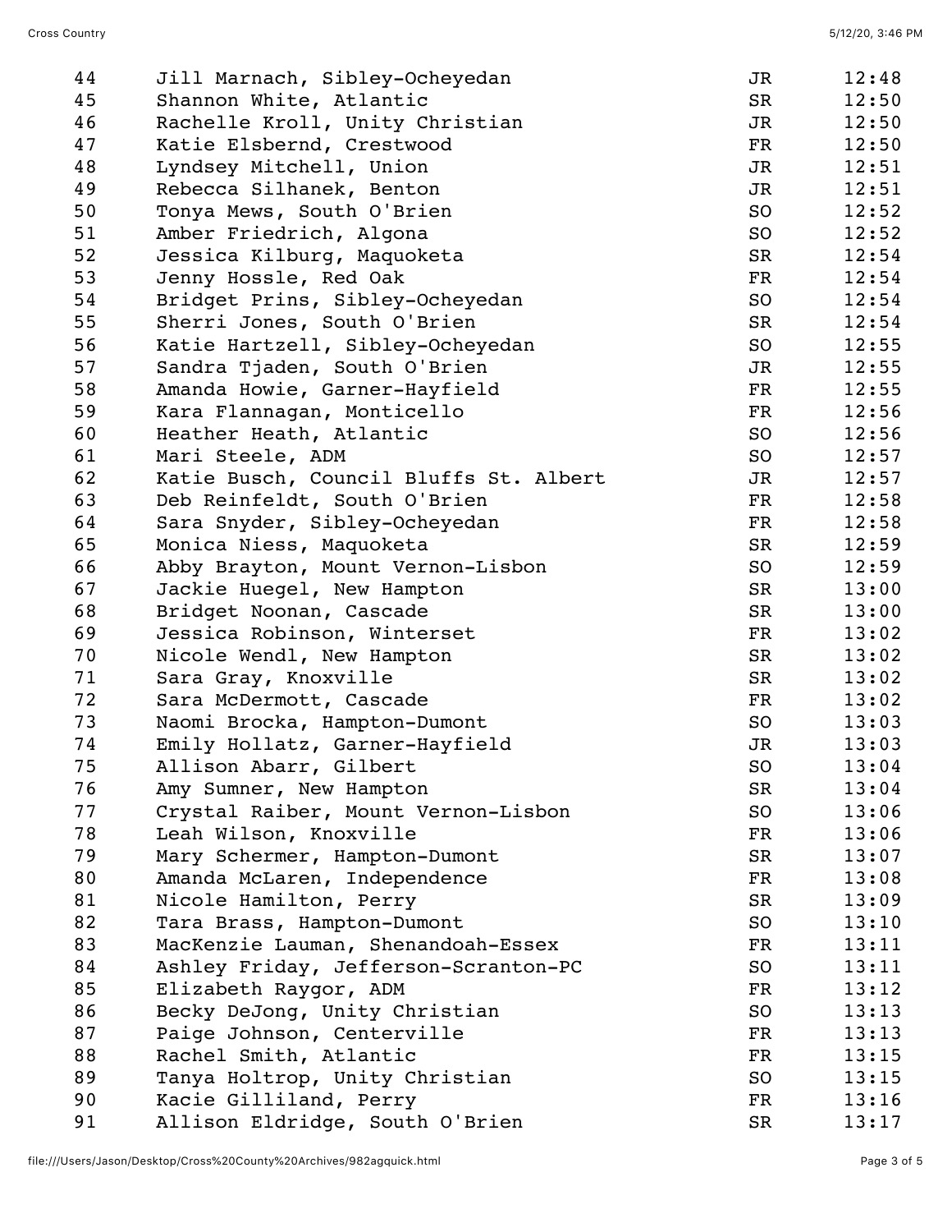| 44 | Jill Marnach, Sibley-Ocheyedan         | JR            | 12:48 |
|----|----------------------------------------|---------------|-------|
| 45 | Shannon White, Atlantic                | SR            | 12:50 |
| 46 | Rachelle Kroll, Unity Christian        | JR            | 12:50 |
| 47 | Katie Elsbernd, Crestwood              | FR            | 12:50 |
| 48 | Lyndsey Mitchell, Union                | JR            | 12:51 |
| 49 | Rebecca Silhanek, Benton               | JR            | 12:51 |
| 50 | Tonya Mews, South O'Brien              | SO            | 12:52 |
| 51 | Amber Friedrich, Algona                | SO            | 12:52 |
| 52 | Jessica Kilburg, Maquoketa             | SR            | 12:54 |
| 53 | Jenny Hossle, Red Oak                  | $\mathbf{FR}$ | 12:54 |
| 54 | Bridget Prins, Sibley-Ocheyedan        | SO            | 12:54 |
| 55 | Sherri Jones, South O'Brien            | SR            | 12:54 |
| 56 | Katie Hartzell, Sibley-Ocheyedan       | SO            | 12:55 |
| 57 | Sandra Tjaden, South O'Brien           | JR            | 12:55 |
| 58 | Amanda Howie, Garner-Hayfield          | FR            | 12:55 |
| 59 | Kara Flannagan, Monticello             | $\mathbf{FR}$ | 12:56 |
| 60 | Heather Heath, Atlantic                | SO            | 12:56 |
| 61 | Mari Steele, ADM                       | SO            | 12:57 |
| 62 | Katie Busch, Council Bluffs St. Albert | JR            | 12:57 |
| 63 | Deb Reinfeldt, South O'Brien           | FR            | 12:58 |
| 64 | Sara Snyder, Sibley-Ocheyedan          | FR            | 12:58 |
| 65 | Monica Niess, Maquoketa                | SR            | 12:59 |
| 66 | Abby Brayton, Mount Vernon-Lisbon      | SO            | 12:59 |
| 67 | Jackie Huegel, New Hampton             | SR            | 13:00 |
| 68 | Bridget Noonan, Cascade                | SR            | 13:00 |
| 69 | Jessica Robinson, Winterset            | FR            | 13:02 |
| 70 | Nicole Wendl, New Hampton              | SR            | 13:02 |
| 71 | Sara Gray, Knoxville                   | SR            | 13:02 |
| 72 | Sara McDermott, Cascade                | FR            | 13:02 |
| 73 | Naomi Brocka, Hampton-Dumont           | SO            | 13:03 |
| 74 | Emily Hollatz, Garner-Hayfield         | JR            | 13:03 |
| 75 | Allison Abarr, Gilbert                 | SO            | 13:04 |
| 76 | Amy Sumner, New Hampton                | SR            | 13:04 |
| 77 | Crystal Raiber, Mount Vernon-Lisbon    | SO            | 13:06 |
| 78 | Leah Wilson, Knoxville                 | FR            | 13:06 |
| 79 | Mary Schermer, Hampton-Dumont          | SR            | 13:07 |
| 80 | Amanda McLaren, Independence           | FR            | 13:08 |
| 81 | Nicole Hamilton, Perry                 | SR            | 13:09 |
| 82 | Tara Brass, Hampton-Dumont             | SO            | 13:10 |
| 83 | MacKenzie Lauman, Shenandoah-Essex     | $\mathbf{FR}$ | 13:11 |
| 84 | Ashley Friday, Jefferson-Scranton-PC   | SO            | 13:11 |
| 85 | Elizabeth Raygor, ADM                  | $\mathbf{FR}$ | 13:12 |
| 86 | Becky DeJong, Unity Christian          | SO            | 13:13 |
| 87 | Paige Johnson, Centerville             | FR            | 13:13 |
| 88 | Rachel Smith, Atlantic                 | FR            | 13:15 |
| 89 | Tanya Holtrop, Unity Christian         | SO            | 13:15 |
| 90 | Kacie Gilliland, Perry                 | FR            | 13:16 |
| 91 | Allison Eldridge, South O'Brien        | SR            | 13:17 |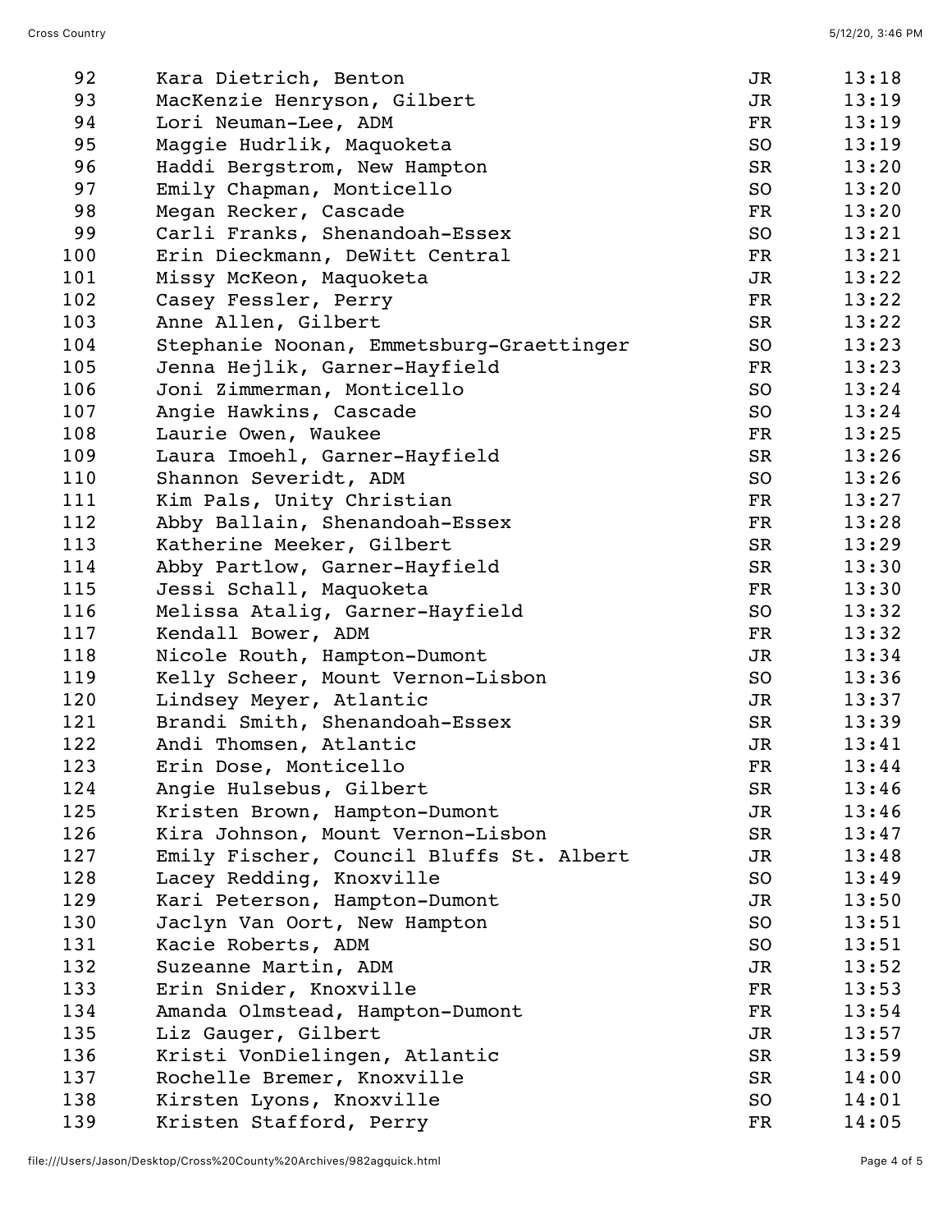| 92  | Kara Dietrich, Benton                    | JR            | 13:18 |
|-----|------------------------------------------|---------------|-------|
| 93  | MacKenzie Henryson, Gilbert              | JR            | 13:19 |
| 94  | Lori Neuman-Lee, ADM                     | FR            | 13:19 |
| 95  | Maggie Hudrlik, Maquoketa                | SO            | 13:19 |
| 96  | Haddi Bergstrom, New Hampton             | SR            | 13:20 |
| 97  | Emily Chapman, Monticello                | SO            | 13:20 |
| 98  | Megan Recker, Cascade                    | $\mathbf{FR}$ | 13:20 |
| 99  | Carli Franks, Shenandoah-Essex           | SO            | 13:21 |
| 100 | Erin Dieckmann, DeWitt Central           | FR            | 13:21 |
| 101 | Missy McKeon, Maquoketa                  | JR            | 13:22 |
| 102 | Casey Fessler, Perry                     | FR            | 13:22 |
| 103 | Anne Allen, Gilbert                      | SR            | 13:22 |
| 104 | Stephanie Noonan, Emmetsburg-Graettinger | SO            | 13:23 |
| 105 | Jenna Hejlik, Garner-Hayfield            | FR            | 13:23 |
| 106 | Joni Zimmerman, Monticello               | SO            | 13:24 |
| 107 | Angie Hawkins, Cascade                   | SO            | 13:24 |
| 108 | Laurie Owen, Waukee                      | $\mathbf{FR}$ | 13:25 |
| 109 | Laura Imoehl, Garner-Hayfield            | SR            | 13:26 |
| 110 | Shannon Severidt, ADM                    | SO            | 13:26 |
| 111 | Kim Pals, Unity Christian                | FR            | 13:27 |
| 112 | Abby Ballain, Shenandoah-Essex           | FR            | 13:28 |
| 113 | Katherine Meeker, Gilbert                | SR            | 13:29 |
| 114 | Abby Partlow, Garner-Hayfield            | SR            | 13:30 |
| 115 | Jessi Schall, Maquoketa                  | FR            | 13:30 |
| 116 | Melissa Atalig, Garner-Hayfield          | SO            | 13:32 |
| 117 | Kendall Bower, ADM                       | FR            | 13:32 |
| 118 | Nicole Routh, Hampton-Dumont             | JR            | 13:34 |
| 119 | Kelly Scheer, Mount Vernon-Lisbon        | SO            | 13:36 |
| 120 | Lindsey Meyer, Atlantic                  | JR            | 13:37 |
| 121 | Brandi Smith, Shenandoah-Essex           | SR            | 13:39 |
| 122 | Andi Thomsen, Atlantic                   | JR            | 13:41 |
| 123 | Erin Dose, Monticello                    | FR            | 13:44 |
| 124 | Angie Hulsebus, Gilbert                  | SR            | 13:46 |
| 125 | Kristen Brown, Hampton-Dumont            | JR            | 13:46 |
| 126 | Kira Johnson, Mount Vernon-Lisbon        | SR            | 13:47 |
| 127 | Emily Fischer, Council Bluffs St. Albert | JR            | 13:48 |
| 128 | Lacey Redding, Knoxville                 | SO            | 13:49 |
| 129 | Kari Peterson, Hampton-Dumont            | JR            | 13:50 |
| 130 | Jaclyn Van Oort, New Hampton             | SO            | 13:51 |
| 131 | Kacie Roberts, ADM                       | SO            | 13:51 |
| 132 | Suzeanne Martin, ADM                     | JR            | 13:52 |
| 133 | Erin Snider, Knoxville                   | FR            | 13:53 |
| 134 | Amanda Olmstead, Hampton-Dumont          | FR            | 13:54 |
| 135 | Liz Gauger, Gilbert                      | JR            | 13:57 |
| 136 | Kristi VonDielingen, Atlantic            | SR            | 13:59 |
| 137 | Rochelle Bremer, Knoxville               | SR            | 14:00 |
| 138 | Kirsten Lyons, Knoxville                 | SO            | 14:01 |
| 139 | Kristen Stafford, Perry                  | FR            | 14:05 |
|     |                                          |               |       |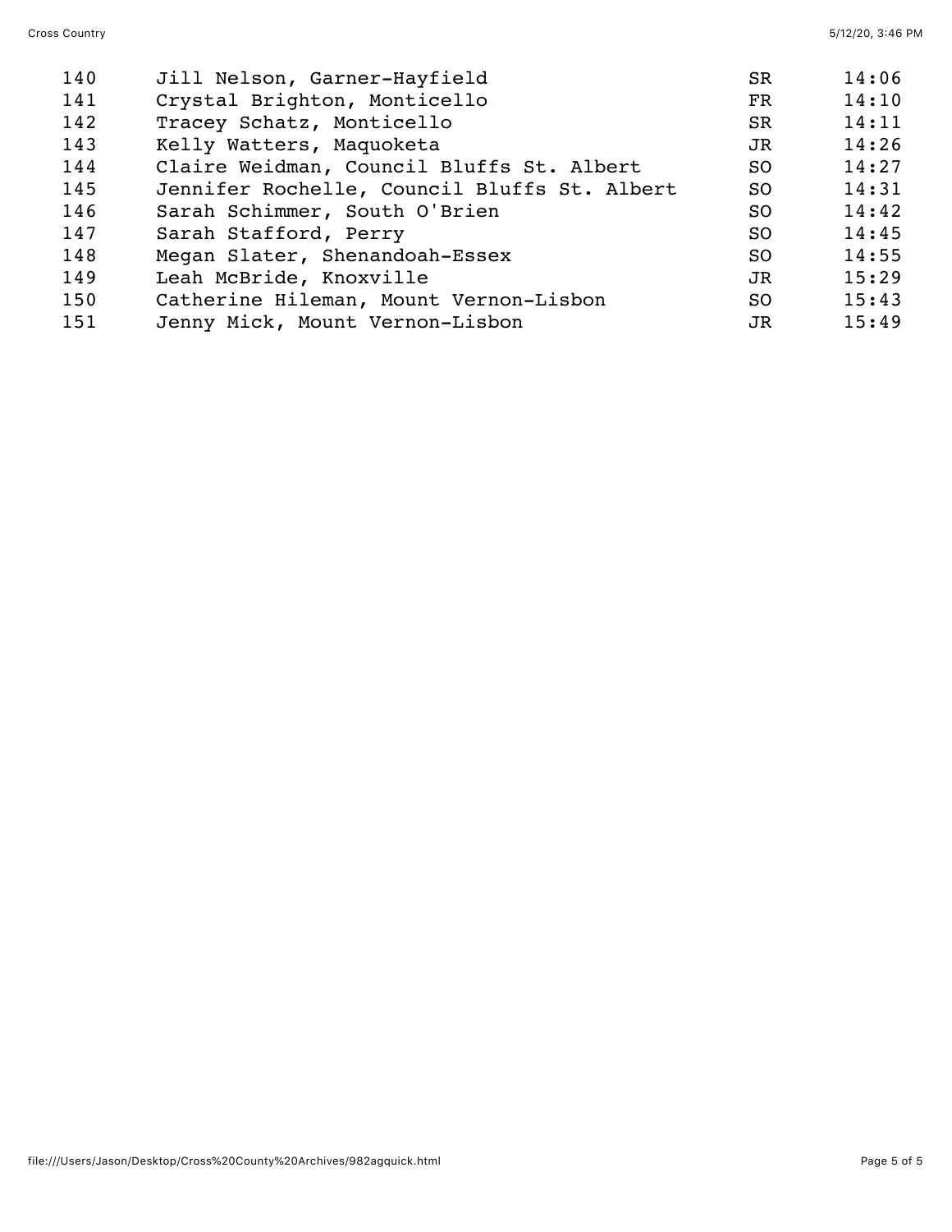| 140 | Jill Nelson, Garner-Hayfield                 | <b>SR</b>      | 14:06 |
|-----|----------------------------------------------|----------------|-------|
| 141 | Crystal Brighton, Monticello                 | FR             | 14:10 |
| 142 | Tracey Schatz, Monticello                    | SR             | 14:11 |
| 143 | Kelly Watters, Maquoketa                     | JR.            | 14:26 |
| 144 | Claire Weidman, Council Bluffs St. Albert    | SO.            | 14:27 |
| 145 | Jennifer Rochelle, Council Bluffs St. Albert | SO.            | 14:31 |
| 146 | Sarah Schimmer, South O'Brien                | S <sub>O</sub> | 14:42 |
| 147 | Sarah Stafford, Perry                        | <b>SO</b>      | 14:45 |
| 148 | Megan Slater, Shenandoah-Essex               | S <sub>O</sub> | 14:55 |
| 149 | Leah McBride, Knoxville                      | JR.            | 15:29 |
| 150 | Catherine Hileman, Mount Vernon-Lisbon       | SO.            | 15:43 |
| 151 | Jenny Mick, Mount Vernon-Lisbon              | JR.            | 15:49 |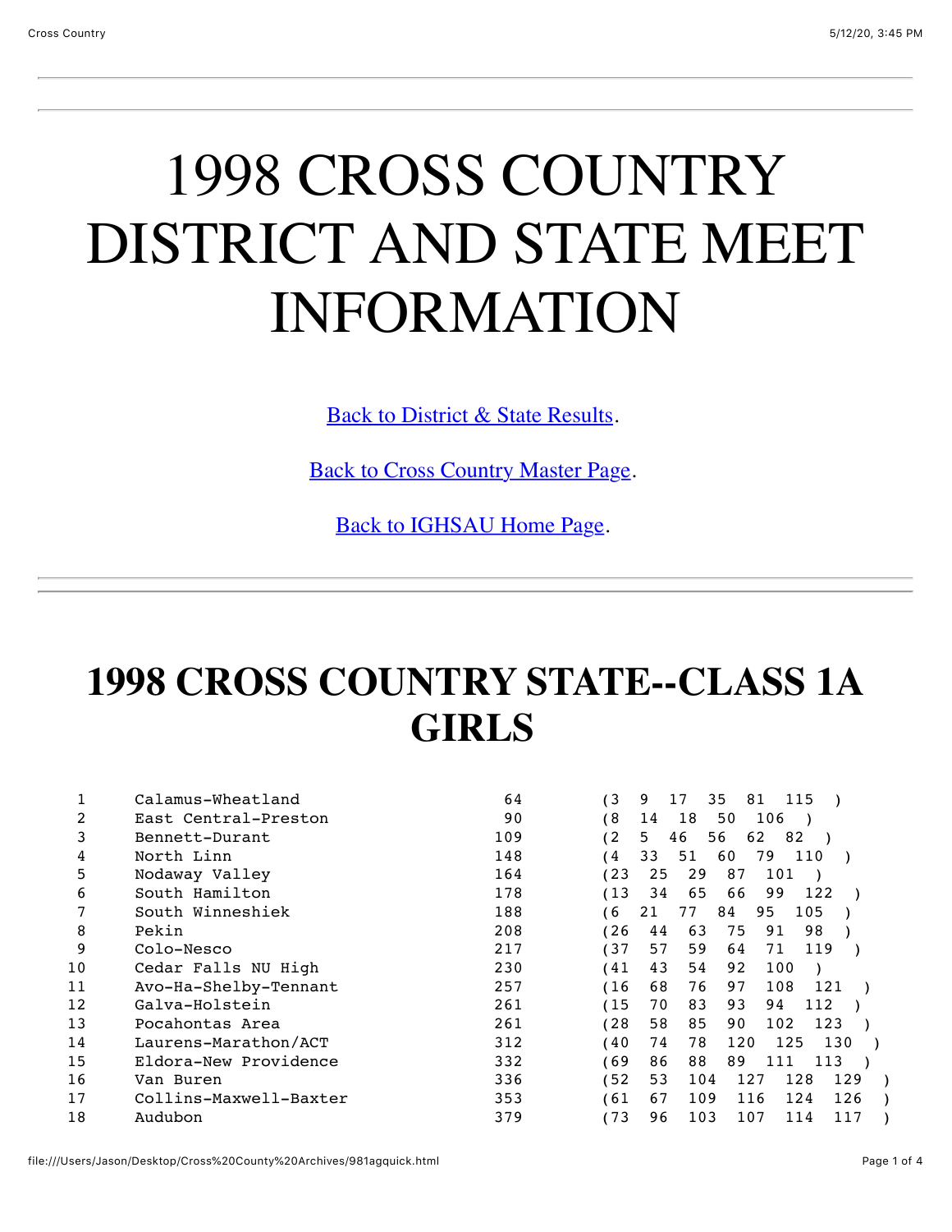# 1998 CROSS COUNTRY DISTRICT AND STATE MEET INFORMATION

[Back to District & State Results.](file:///Users/Jason/Desktop/Cross%20County%20Archives/ccdistrict98.html)

[Back to Cross Country Master Page.](file:///Users/Jason/Desktop/Cross%20County%20Archives/crosscountry.html)

[Back to IGHSAU Home Page.](http://www.ighsau.org/ighsau/index.html)

### **1998 CROSS COUNTRY STATE--CLASS 1A GIRLS**

|    | Calamus-Wheatland      | 64  | 13<br>9<br>35<br>17<br>81<br>115      |
|----|------------------------|-----|---------------------------------------|
| 2  | East Central-Preston   | 90  | 68<br>106<br>18<br>50<br>14           |
| 3  | Bennett-Durant         | 109 | (2<br>5.<br>56<br>62<br>46<br>82      |
| 4  | North Linn             | 148 | 51<br>60<br>′ 4<br>33<br>79<br>110    |
| 5  | Nodaway Valley         | 164 | (23<br>25<br>29<br>87<br>101          |
| 6  | South Hamilton         | 178 | 65<br>(13<br>34<br>66<br>99<br>122    |
|    | South Winneshiek       | 188 | 95<br>84<br>105<br>6<br>21<br>77      |
| 8  | Pekin                  | 208 | 126<br>98<br>63<br>75<br>44<br>91     |
| 9  | Colo-Nesco             | 217 | 57<br>59<br>137<br>119<br>71<br>64    |
| 10 | Cedar Falls NU High    | 230 | 43<br>41<br>54<br>92<br>100           |
| 11 | Avo-Ha-Shelby-Tennant  | 257 | 76<br>(16<br>68<br>108<br>97<br>121   |
| 12 | Galva-Holstein         | 261 | (15<br>83<br>112<br>70<br>93<br>94    |
| 13 | Pocahontas Area        | 261 | 128<br>58<br>85<br>102<br>123<br>90   |
| 14 | Laurens-Marathon/ACT   | 312 | 40<br>74<br>78<br>125<br>130<br>120   |
| 15 | Eldora-New Providence  | 332 | 69'<br>88<br>86<br>89<br>111<br>113   |
| 16 | Van Buren              | 336 | 52<br>53<br>104<br>128<br>129<br>127  |
| 17 | Collins-Maxwell-Baxter | 353 | 109<br>67<br>61<br>116<br>124<br>126  |
| 18 | Audubon                | 379 | 173<br>103<br>96<br>107<br>114<br>117 |
|    |                        |     |                                       |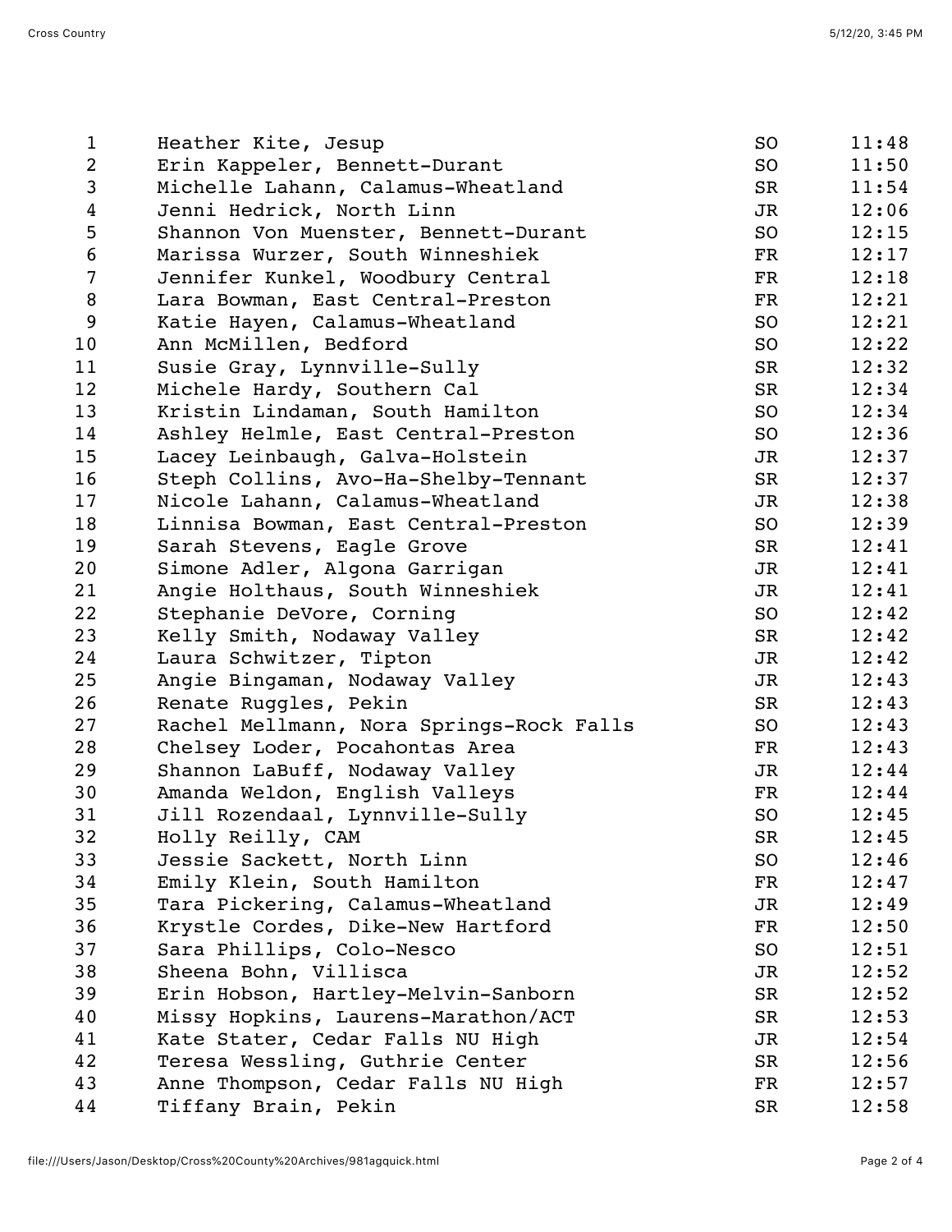| $\mathbf{1}$     | Heather Kite, Jesup                      | SO.           | 11:48 |
|------------------|------------------------------------------|---------------|-------|
| $\overline{2}$   | Erin Kappeler, Bennett-Durant            | SO            | 11:50 |
| 3                | Michelle Lahann, Calamus-Wheatland       | SR            | 11:54 |
| 4                | Jenni Hedrick, North Linn                | JR            | 12:06 |
| 5                | Shannon Von Muenster, Bennett-Durant     | SO            | 12:15 |
| $\sqrt{6}$       | Marissa Wurzer, South Winneshiek         | $\mathbf{FR}$ | 12:17 |
| $\overline{7}$   | Jennifer Kunkel, Woodbury Central        | $\mathbf{FR}$ | 12:18 |
| 8                | Lara Bowman, East Central-Preston        | $_{\rm FR}$   | 12:21 |
| $\boldsymbol{9}$ | Katie Hayen, Calamus-Wheatland           | SO            | 12:21 |
| 10               | Ann McMillen, Bedford                    | SO            | 12:22 |
| 11               | Susie Gray, Lynnville-Sully              | SR            | 12:32 |
| 12               | Michele Hardy, Southern Cal              | SR            | 12:34 |
| 13               | Kristin Lindaman, South Hamilton         | SO            | 12:34 |
| 14               | Ashley Helmle, East Central-Preston      | SO            | 12:36 |
| 15               | Lacey Leinbaugh, Galva-Holstein          | JR            | 12:37 |
| 16               | Steph Collins, Avo-Ha-Shelby-Tennant     | SR            | 12:37 |
| 17               | Nicole Lahann, Calamus-Wheatland         | JR            | 12:38 |
| 18               | Linnisa Bowman, East Central-Preston     | SO            | 12:39 |
| 19               | Sarah Stevens, Eagle Grove               | SR            | 12:41 |
| 20               | Simone Adler, Algona Garrigan            | JR            | 12:41 |
| 21               | Angie Holthaus, South Winneshiek         | JR            | 12:41 |
| 22               | Stephanie DeVore, Corning                | SO            | 12:42 |
| 23               | Kelly Smith, Nodaway Valley              | SR            | 12:42 |
| 24               | Laura Schwitzer, Tipton                  | JR            | 12:42 |
| 25               | Angie Bingaman, Nodaway Valley           | JR            | 12:43 |
| 26               | Renate Ruggles, Pekin                    | SR            | 12:43 |
| 27               | Rachel Mellmann, Nora Springs-Rock Falls | SO            | 12:43 |
| 28               | Chelsey Loder, Pocahontas Area           | FR            | 12:43 |
| 29               | Shannon LaBuff, Nodaway Valley           | JR            | 12:44 |
| 30               | Amanda Weldon, English Valleys           | $\mathbf{FR}$ | 12:44 |
| 31               | Jill Rozendaal, Lynnville-Sully          | SO            | 12:45 |
| 32               | Holly Reilly, CAM                        | SR            | 12:45 |
| 33               | Jessie Sackett, North Linn               | SO            | 12:46 |
| 34               | Emily Klein, South Hamilton              | $_{\rm FR}$   | 12:47 |
| 35               | Tara Pickering, Calamus-Wheatland        | JR            | 12:49 |
| 36               | Krystle Cordes, Dike-New Hartford        | FR            | 12:50 |
| 37               | Sara Phillips, Colo-Nesco                | SO.           | 12:51 |
| 38               | Sheena Bohn, Villisca                    | JR            | 12:52 |
| 39               | Erin Hobson, Hartley-Melvin-Sanborn      | SR            | 12:52 |
| 40               | Missy Hopkins, Laurens-Marathon/ACT      | SR            | 12:53 |
| 41               | Kate Stater, Cedar Falls NU High         | JR            | 12:54 |
| 42               | Teresa Wessling, Guthrie Center          | SR            | 12:56 |
| 43               | Anne Thompson, Cedar Falls NU High       | FR            | 12:57 |
| 44               | Tiffany Brain, Pekin                     | SR            | 12:58 |
|                  |                                          |               |       |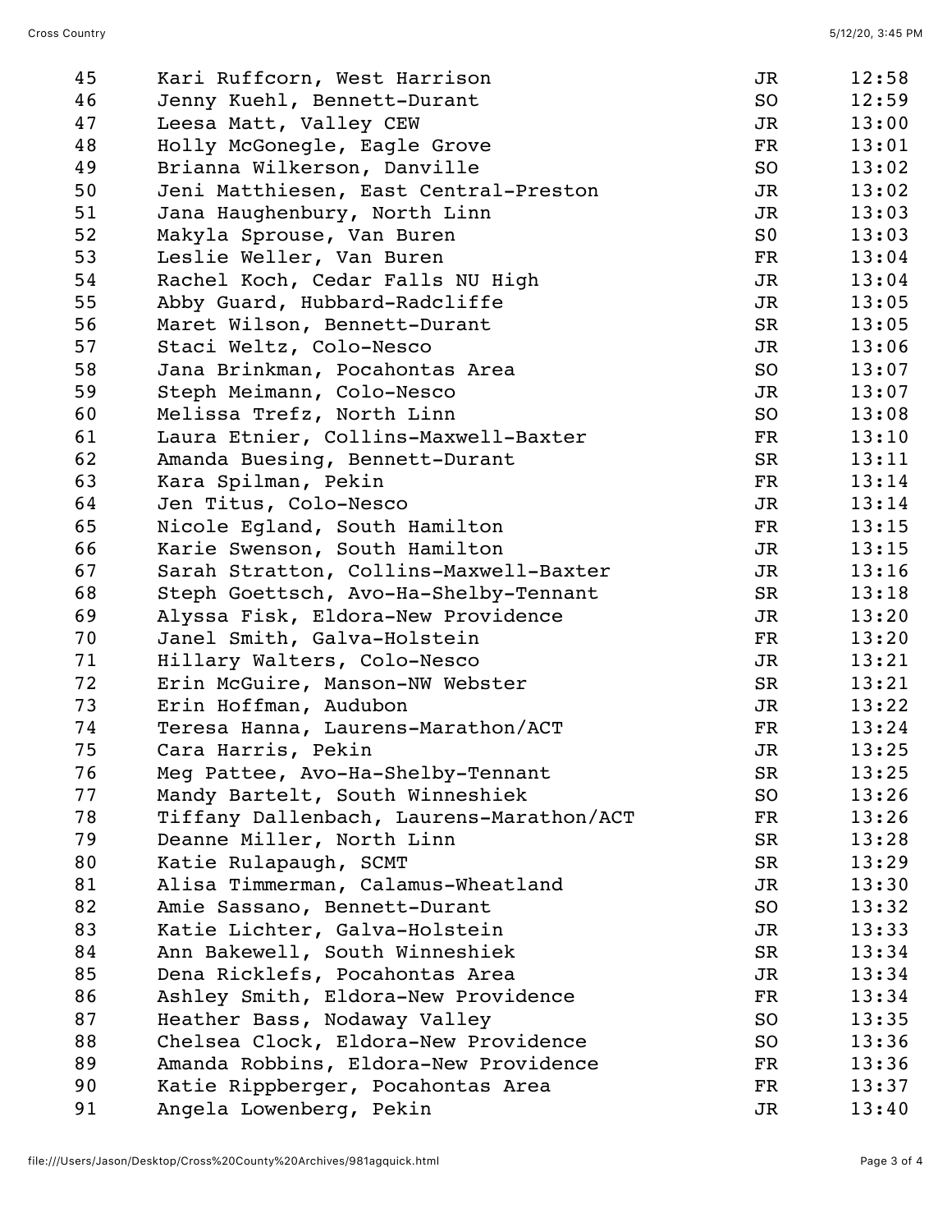| 45 | Kari Ruffcorn, West Harrison             | JR             | 12:58 |
|----|------------------------------------------|----------------|-------|
| 46 | Jenny Kuehl, Bennett-Durant              | SO             | 12:59 |
| 47 | Leesa Matt, Valley CEW                   | JR             | 13:00 |
| 48 | Holly McGonegle, Eagle Grove             | FR             | 13:01 |
| 49 | Brianna Wilkerson, Danville              | SO             | 13:02 |
| 50 | Jeni Matthiesen, East Central-Preston    | JR             | 13:02 |
| 51 | Jana Haughenbury, North Linn             | JR             | 13:03 |
| 52 | Makyla Sprouse, Van Buren                | S <sub>0</sub> | 13:03 |
| 53 | Leslie Weller, Van Buren                 | FR             | 13:04 |
| 54 | Rachel Koch, Cedar Falls NU High         | JR             | 13:04 |
| 55 | Abby Guard, Hubbard-Radcliffe            | JR             | 13:05 |
| 56 | Maret Wilson, Bennett-Durant             | SR             | 13:05 |
| 57 | Staci Weltz, Colo-Nesco                  | JR             | 13:06 |
| 58 | Jana Brinkman, Pocahontas Area           | SO             | 13:07 |
| 59 | Steph Meimann, Colo-Nesco                | JR             | 13:07 |
| 60 | Melissa Trefz, North Linn                | SO             | 13:08 |
| 61 | Laura Etnier, Collins-Maxwell-Baxter     | FR             | 13:10 |
| 62 | Amanda Buesing, Bennett-Durant           | SR             | 13:11 |
| 63 | Kara Spilman, Pekin                      | FR             | 13:14 |
| 64 | Jen Titus, Colo-Nesco                    | JR             | 13:14 |
| 65 | Nicole Egland, South Hamilton            | FR             | 13:15 |
| 66 | Karie Swenson, South Hamilton            | JR             | 13:15 |
| 67 | Sarah Stratton, Collins-Maxwell-Baxter   | JR             | 13:16 |
| 68 | Steph Goettsch, Avo-Ha-Shelby-Tennant    | SR             | 13:18 |
| 69 | Alyssa Fisk, Eldora-New Providence       | JR             | 13:20 |
| 70 | Janel Smith, Galva-Holstein              | FR             | 13:20 |
| 71 | Hillary Walters, Colo-Nesco              | JR             | 13:21 |
| 72 | Erin McGuire, Manson-NW Webster          | SR             | 13:21 |
| 73 | Erin Hoffman, Audubon                    | JR             | 13:22 |
| 74 | Teresa Hanna, Laurens-Marathon/ACT       | FR             | 13:24 |
| 75 | Cara Harris, Pekin                       | JR             | 13:25 |
| 76 | Meg Pattee, Avo-Ha-Shelby-Tennant        | SR             | 13:25 |
| 77 | Mandy Bartelt, South Winneshiek          | SO.            | 13:26 |
| 78 | Tiffany Dallenbach, Laurens-Marathon/ACT | FR             | 13:26 |
| 79 | Deanne Miller, North Linn                | SR             | 13:28 |
| 80 | Katie Rulapaugh, SCMT                    | SR             | 13:29 |
| 81 | Alisa Timmerman, Calamus-Wheatland       | JR             | 13:30 |
| 82 | Amie Sassano, Bennett-Durant             | SO             | 13:32 |
| 83 | Katie Lichter, Galva-Holstein            | JR             | 13:33 |
| 84 | Ann Bakewell, South Winneshiek           | SR             | 13:34 |
| 85 | Dena Ricklefs, Pocahontas Area           | JR             | 13:34 |
| 86 | Ashley Smith, Eldora-New Providence      | FR             | 13:34 |
| 87 | Heather Bass, Nodaway Valley             | SO             | 13:35 |
| 88 | Chelsea Clock, Eldora-New Providence     | SO             | 13:36 |
| 89 | Amanda Robbins, Eldora-New Providence    | FR             | 13:36 |
| 90 | Katie Rippberger, Pocahontas Area        | FR             | 13:37 |
| 91 | Angela Lowenberg, Pekin                  | JR             | 13:40 |
|    |                                          |                |       |